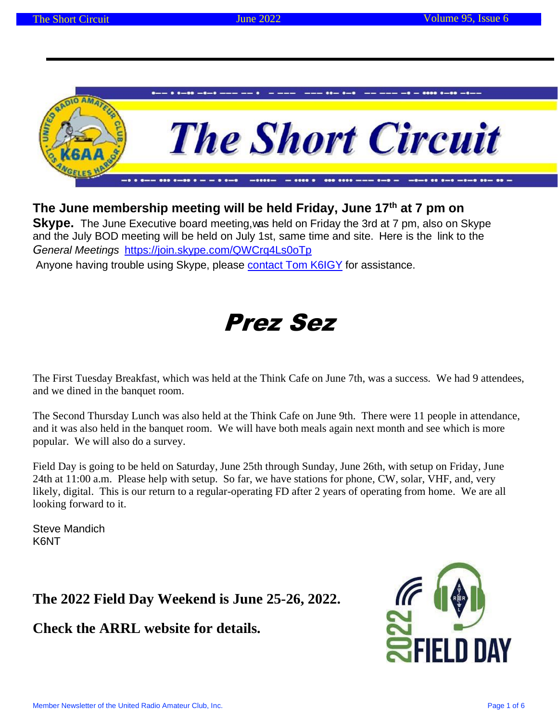

### **The June membership meeting will be held Friday, June 17th at 7 pm on**

**Skype.** The June Executive board meeting, was held on Friday the 3rd at 7 pm, also on Skype and the July BOD meeting will be held on July 1st, same time and site. Here is the link to the *General Meetings* <https://join.skype.com/QWCrq4Ls0oTp>

Anyone having trouble using Skype, please contact Tom K6IGY for assistance.

# Prez Sez

The First Tuesday Breakfast, which was held at the Think Cafe on June 7th, was a success. We had 9 attendees, and we dined in the banquet room.

The Second Thursday Lunch was also held at the Think Cafe on June 9th. There were 11 people in attendance, and it was also held in the banquet room. We will have both meals again next month and see which is more popular. We will also do a survey.

Field Day is going to be held on Saturday, June 25th through Sunday, June 26th, with setup on Friday, June 24th at 11:00 a.m. Please help with setup. So far, we have stations for phone, CW, solar, VHF, and, very likely, digital. This is our return to a regular-operating FD after 2 years of operating from home. We are all looking forward to it.

Steve Mandich K6NT

**The 2022 Field Day Weekend is June 25-26, 2022.** 

**Check the ARRL website for details.**

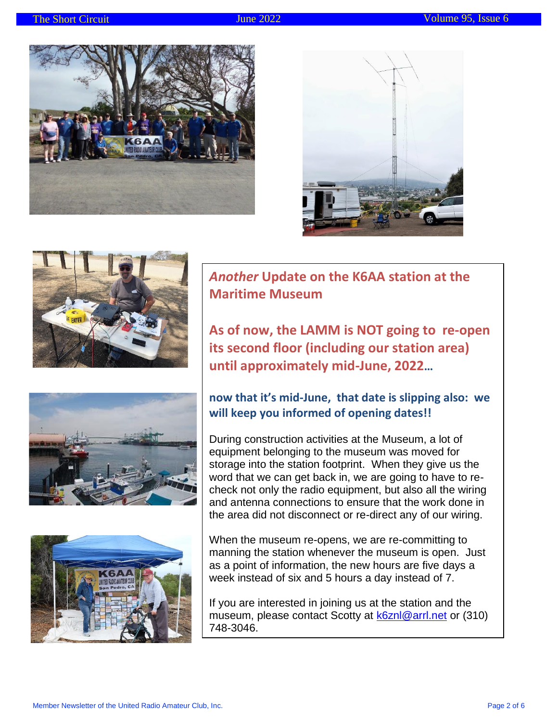









*Another* **Update on the K6AA station at the Maritime Museum**

**As of now, the LAMM is NOT going to re-open its second floor (including our station area) until approximately mid-June, 2022…**

### **now that it's mid-June, that date is slipping also: we will keep you informed of opening dates!!**

During construction activities at the Museum, a lot of equipment belonging to the museum was moved for storage into the station footprint. When they give us the word that we can get back in, we are going to have to recheck not only the radio equipment, but also all the wiring and antenna connections to ensure that the work done in the area did not disconnect or re-direct any of our wiring.

When the museum re-opens, we are re-committing to manning the station whenever the museum is open. Just as a point of information, the new hours are five days a week instead of six and 5 hours a day instead of 7.

If you are interested in joining us at the station and the museum, please contact Scotty at [k6znl@arrl.net](mailto:k6znl@arrl.net) or (310) 748-3046.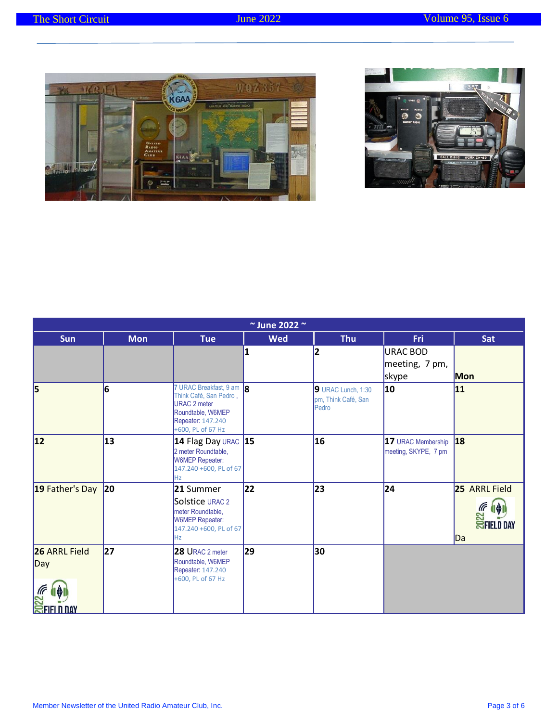



| $\sim$ June 2022 $\sim$                          |            |                                                                                                                                          |            |                                                    |                                               |                                                    |
|--------------------------------------------------|------------|------------------------------------------------------------------------------------------------------------------------------------------|------------|----------------------------------------------------|-----------------------------------------------|----------------------------------------------------|
| <b>Sun</b>                                       | <b>Mon</b> | <b>Tue</b>                                                                                                                               | <b>Wed</b> | <b>Thu</b>                                         | <b>Fri</b>                                    | Sat                                                |
|                                                  |            |                                                                                                                                          |            | 2                                                  | <b>URAC BOD</b><br>meeting, 7 pm,<br>skype    | Mon                                                |
| 5                                                | 6          | 7 URAC Breakfast, 9 am 8<br>Think Café, San Pedro,<br><b>URAC 2 meter</b><br>Roundtable, W6MEP<br>Repeater: 147.240<br>+600, PL of 67 Hz |            | 9 URAC Lunch, 1:30<br>pm, Think Café, San<br>Pedro | 10                                            | 11                                                 |
| 12                                               | 13         | 14 Flag Day URAC $ 15 $<br>2 meter Roundtable,<br><b>W6MEP Repeater:</b><br>147.240 +600, PL of 67<br>Hz                                 |            | 16                                                 | 17 URAC Membership 18<br>meeting, SKYPE, 7 pm |                                                    |
| 19 Father's Day                                  | 20         | 21 Summer<br>Solstice URAC 2<br>meter Roundtable,<br><b>W6MEP Repeater:</b><br>147.240 +600, PL of 67<br>Hz.                             | 22         | 23                                                 | 24                                            | 25 ARRL Field<br><b>E III</b><br>SFIELD DAY<br>IDa |
| <b>26 ARRL Field</b><br>Day<br><b>EFIELD DAY</b> | 27         | 28 URAC 2 meter<br>Roundtable, W6MEP<br>Repeater: 147.240<br>+600, PL of 67 Hz                                                           | 29         | 30                                                 |                                               |                                                    |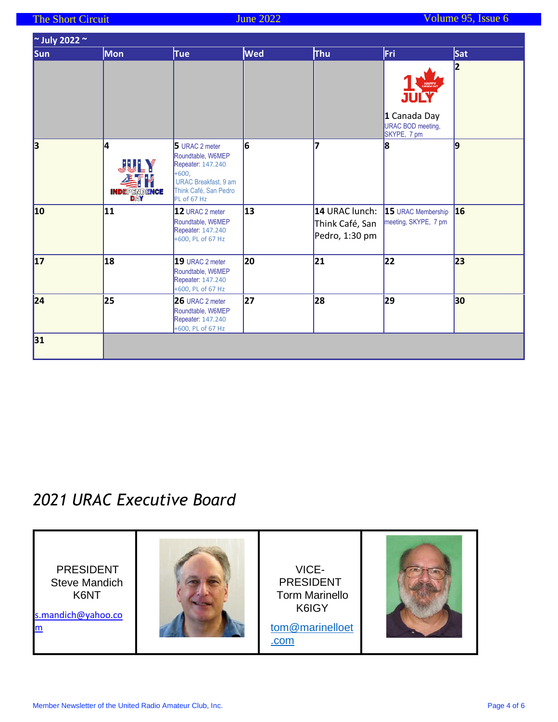| $\approx$ July 2022 $\approx$ |                                                |                                                                                                                                            |            |                                                     |                                                          |            |
|-------------------------------|------------------------------------------------|--------------------------------------------------------------------------------------------------------------------------------------------|------------|-----------------------------------------------------|----------------------------------------------------------|------------|
| <b>Sun</b>                    | <b>Mon</b>                                     | <b>Tue</b>                                                                                                                                 | <b>Wed</b> | <b>Thu</b>                                          | Fri                                                      | <b>Sat</b> |
|                               |                                                |                                                                                                                                            |            |                                                     | HAPP<br>1 Canada Day<br>URAC BOD meeting,<br>SKYPE, 7 pm | 2          |
| $\overline{\mathbf{3}}$       | l4<br><b>JULY</b><br>基件<br><b>INDEPENDENCE</b> | 5 URAC 2 meter<br>Roundtable, W6MEP<br>Repeater: 147.240<br>$+600,$<br><b>URAC Breakfast, 9 am</b><br>Think Café, San Pedro<br>PL of 67 Hz | 6          | 7                                                   | 8                                                        | 9          |
| 10                            | 11                                             | 12 URAC 2 meter<br>Roundtable, W6MEP<br>Repeater: 147.240<br>+600, PL of 67 Hz                                                             | 13         | 14 URAC lunch:<br>Think Café, San<br>Pedro, 1:30 pm | 15 URAC Membership 16<br>meeting, SKYPE, 7 pm            |            |
| 17                            | 18                                             | 19 URAC 2 meter<br>Roundtable, W6MEP<br>Repeater: 147.240<br>+600, PL of 67 Hz                                                             | 20         | 21                                                  | 22                                                       | 23         |
| 24                            | 25                                             | 26 URAC 2 meter<br>Roundtable, W6MEP<br>Repeater: 147.240<br>+600, PL of 67 Hz                                                             | 27         | 28                                                  | 29                                                       | 30         |
| 31                            |                                                |                                                                                                                                            |            |                                                     |                                                          |            |

## *2021 URAC Executive Board*

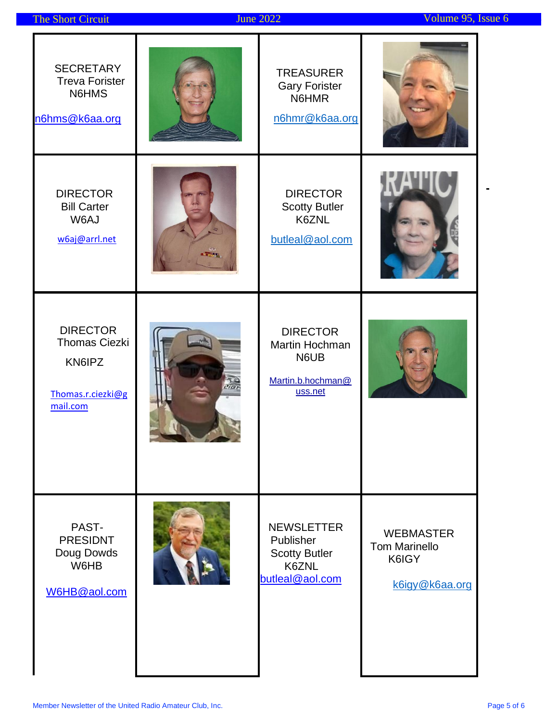|  | <b>The Short Circuit</b> |  |
|--|--------------------------|--|

 $\blacksquare$ 

| <b>SECRETARY</b><br><b>Treva Forister</b><br>N6HMS<br>n6hms@k6aa.org               | <b>TREASURER</b><br><b>Gary Forister</b><br>N6HMR<br>n6hmr@k6aa.org                |                                                                     |
|------------------------------------------------------------------------------------|------------------------------------------------------------------------------------|---------------------------------------------------------------------|
| <b>DIRECTOR</b><br><b>Bill Carter</b><br>W6AJ<br>w6aj@arrl.net                     | <b>DIRECTOR</b><br><b>Scotty Butler</b><br>K6ZNL<br>butleal@aol.com                |                                                                     |
| <b>DIRECTOR</b><br><b>Thomas Ciezki</b><br>KN6IPZ<br>Thomas.r.ciezki@g<br>mail.com | <b>DIRECTOR</b><br>Martin Hochman<br>N6UB<br>Martin.b.hochman@<br>uss.net          |                                                                     |
| PAST-<br><b>PRESIDNT</b><br>Doug Dowds<br>W6HB<br>W6HB@aol.com                     | <b>NEWSLETTER</b><br>Publisher<br><b>Scotty Butler</b><br>K6ZNL<br>butleal@aol.com | <b>WEBMASTER</b><br><b>Tom Marinello</b><br>K6IGY<br>k6igy@k6aa.org |